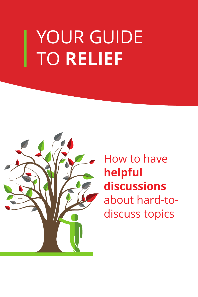# YOUR GUIDE TO **RELIEF**



How to have **helpful discussions**  about hard-todiscuss topics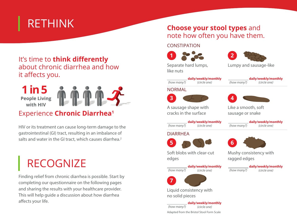## RETHINK

## It's time to **think differently** about chronic diarrhea and how it affects you.



## Experience **Chronic Diarrhea<sup>1</sup>**

HIV or its treatment can cause long-term damage to the gastrointestinal (GI) tract, resulting in an imbalance of salts and water in the GI tract, which causes diarrhea.<sup>2</sup>

# RECOGNIZE

Finding relief from chronic diarrhea is possible. Start by completing our questionnaire on the following pages and sharing the results with your healthcare provider. This will help guide a discussion about how diarrhea affects your life.

## **Choose your stool types** and note how often you have them.

#### CONSTIPATION





Separate hard lumps, like nuts

*(how many?) (circle one)*

**daily/weekly/monthly**

**daily/weekly/monthly**

**daily/weekly/monthly** *(how many?) (circle one)*

NORMAL





A sausage shape with cracks in the surface

Like a smooth, soft sausage or snake

**daily/weekly/monthly**

*(how many?) (circle one)*

Mushy consistency with

*(how many?) (circle one)*

ragged edges

**daily/weekly/monthly** *(how many?) (circle one)*

#### **DIARRHFA**



Soft blobs with clear-cut edges

**daily/weekly/monthly** *(how many?) (circle one)*



Liquid consistency with no solid pieces

Adapted from the Bristol Stool Form Scale **daily/weekly/monthly** *(how many?) (circle one)*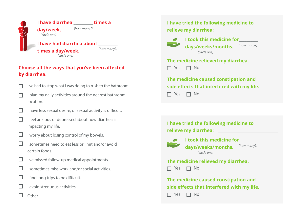

#### **Choose all the ways that you've been affected by diarrhea.**



- $\Box$  I have less sexual desire, or sexual activity is difficult.
- I feel anxious or depressed about how diarrhea is impacting my life.



- $\Box$  I worry about losing control of my bowels.
- I sometimes need to eat less or limit and/or avoid certain foods.
- $\Box$  I've missed follow-up medical appointments.
- $\Box$  I sometimes miss work and/or social activities.
- $\Box$  I find long trips to be difficult.
- $\Box$  I avoid strenuous activities.
	- Other **Other Other Other Other Other Other Other Other Other Other Other Other Other Other Other Other Other Other Other Other Other Other Other Other Other Other Other**

### **I have tried the following medicine to relieve my diarrhea:**



*I* **took this medicine for<br>
<b>Example 2** developed to the set of the set of the set of the set of the set of the set of the set of the set of the set of the set of the set of the set of the set of the set of the set of the **days/weeks/months.** *(how many?) (circle one)*

### **The medicine relieved my diarrhea.**  $\Box$  Yes  $\Box$  No

**The medicine caused constipation and side effects that interfered with my life.**  $\Box$  Yes  $\Box$  No

**I have tried the following medicine to relieve my diarrhea: I took this medicine for\_\_\_\_\_\_\_\_\_\_ days/weeks/months. The medicine relieved my diarrhea.**  $\Box$  Yes  $\Box$  No **The medicine caused constipation and side effects that interfered with my life.**  $\Box$  Yes  $\Box$  No *(how many?) (circle one)*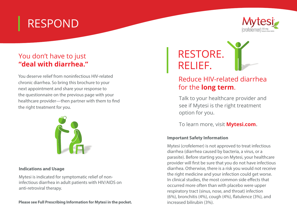## RESPOND



## You don't have to just **"deal with diarrhea."**

You deserve relief from noninfectious HIV-related chronic diarrhea. So bring this brochure to your next appointment and share your response to the questionnaire on the previous page with your healthcare provider—then partner with them to find the right treatment for you.



#### **Indications and Usage**

Mytesi is indicated for symptomatic relief of noninfectious diarrhea in adult patients with HIV/AIDS on anti-retroviral therapy.

**Please see Full Prescribing Information for Mytesi in the pocket.**



## Reduce HIV-related diarrhea for the **long term**.

Talk to your healthcare provider and see if Mytesi is the right treatment option for you.

To learn more, visit **Mytesi.com**.

#### **Important Safety Information**

Mytesi (crofelemer) is not approved to treat infectious diarrhea (diarrhea caused by bacteria, a virus, or a parasite). Before starting you on Mytesi, your healthcare provider will first be sure that you do not have infectious diarrhea. Otherwise, there is a risk you would not receive the right medicine and your infection could get worse. In clinical studies, the most common side effects that occurred more often than with placebo were upper respiratory tract (sinus, nose, and throat) infection (6%), bronchitis (4%), cough (4%), flatulence (3%), and increased bilirubin (3%).